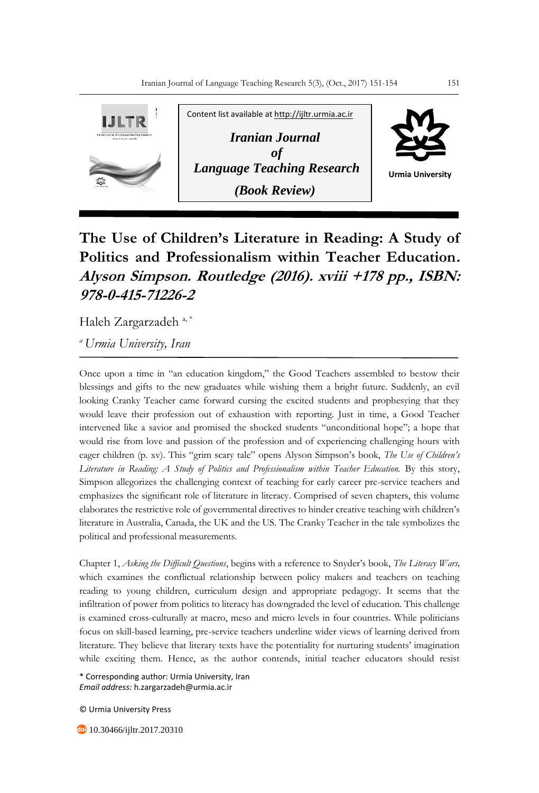

## **The Use of Children's Literature in Reading: A Study of Politics and Professionalism within Teacher Education. Alyson Simpson. Routledge (2016). xviii +178 pp., ISBN: 978-0-415-71226-2**

Haleh Zargarzadeh<sup>a,\*</sup>

*<sup>a</sup>Urmia University, Iran*

Once upon a time in "an education kingdom," the Good Teachers assembled to bestow their blessings and gifts to the new graduates while wishing them a bright future. Suddenly, an evil looking Cranky Teacher came forward cursing the excited students and prophesying that they would leave their profession out of exhaustion with reporting. Just in time, a Good Teacher intervened like a savior and promised the shocked students "unconditional hope"; a hope that would rise from love and passion of the profession and of experiencing challenging hours with eager children (p. xv). This "grim scary tale" opens Alyson Simpson's book, *The Use of Children's Literature in Reading: A Study of Politics and Professionalism within Teacher Education.* By this story, Simpson allegorizes the challenging context of teaching for early career pre-service teachers and emphasizes the significant role of literature in literacy. Comprised of seven chapters, this volume elaborates the restrictive role of governmental directives to hinder creative teaching with children's literature in Australia, Canada, the UK and the US. The Cranky Teacher in the tale symbolizes the political and professional measurements.

Chapter 1, *Asking the Difficult Questions*, begins with a reference to Snyder's book, *The Literacy Wars,* which examines the conflictual relationship between policy makers and teachers on teaching reading to young children, curriculum design and appropriate pedagogy. It seems that the infiltration of power from politics to literacy has downgraded the level of education. This challenge is examined cross-culturally at macro, meso and micro levels in four countries. While politicians focus on skill-based learning, pre-service teachers underline wider views of learning derived from literature. They believe that literary texts have the potentiality for nurturing students' imagination while exciting them. Hence, as the author contends, initial teacher educators should resist

\* Corresponding author: Urmia University, Iran *Email address:* h.zargarzadeh@urmia.ac.ir

© Urmia University Press

**10.30466/ijltr.2017.20310**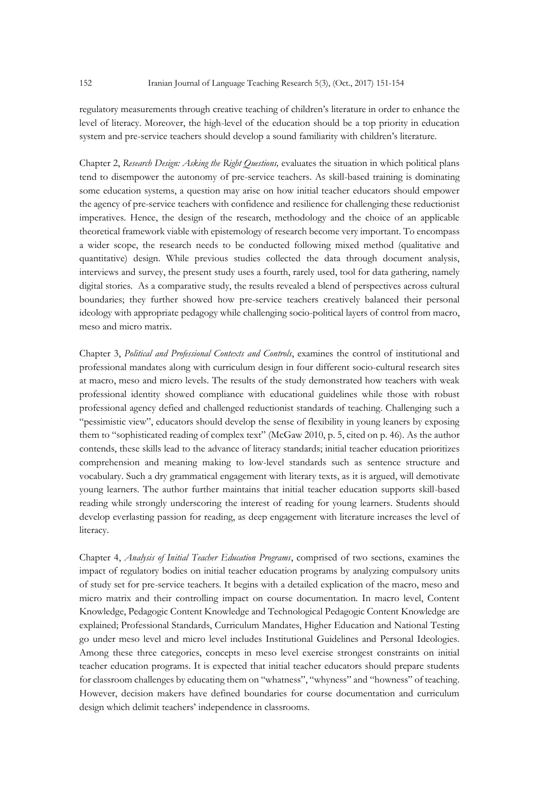regulatory measurements through creative teaching of children's literature in order to enhance the level of literacy. Moreover, the high-level of the education should be a top priority in education system and pre-service teachers should develop a sound familiarity with children's literature.

Chapter 2, *Research Design: Asking the Right Questions,* evaluates the situation in which political plans tend to disempower the autonomy of pre-service teachers. As skill-based training is dominating some education systems, a question may arise on how initial teacher educators should empower the agency of pre-service teachers with confidence and resilience for challenging these reductionist imperatives. Hence, the design of the research, methodology and the choice of an applicable theoretical framework viable with epistemology of research become very important. To encompass a wider scope, the research needs to be conducted following mixed method (qualitative and quantitative) design. While previous studies collected the data through document analysis, interviews and survey, the present study uses a fourth, rarely used, tool for data gathering, namely digital stories. As a comparative study, the results revealed a blend of perspectives across cultural boundaries; they further showed how pre-service teachers creatively balanced their personal ideology with appropriate pedagogy while challenging socio-political layers of control from macro, meso and micro matrix.

Chapter 3, *Political and Professional Contexts and Controls*, examines the control of institutional and professional mandates along with curriculum design in four different socio-cultural research sites at macro, meso and micro levels. The results of the study demonstrated how teachers with weak professional identity showed compliance with educational guidelines while those with robust professional agency defied and challenged reductionist standards of teaching. Challenging such a "pessimistic view", educators should develop the sense of flexibility in young leaners by exposing them to "sophisticated reading of complex text" (McGaw 2010, p. 5, cited on p. 46). As the author contends, these skills lead to the advance of literacy standards; initial teacher education prioritizes comprehension and meaning making to low-level standards such as sentence structure and vocabulary. Such a dry grammatical engagement with literary texts, as it is argued, will demotivate young learners. The author further maintains that initial teacher education supports skill-based reading while strongly underscoring the interest of reading for young learners. Students should develop everlasting passion for reading, as deep engagement with literature increases the level of literacy.

Chapter 4, *Analysis of Initial Teacher Education Programs*, comprised of two sections, examines the impact of regulatory bodies on initial teacher education programs by analyzing compulsory units of study set for pre-service teachers. It begins with a detailed explication of the macro, meso and micro matrix and their controlling impact on course documentation. In macro level, Content Knowledge, Pedagogic Content Knowledge and Technological Pedagogic Content Knowledge are explained; Professional Standards, Curriculum Mandates, Higher Education and National Testing go under meso level and micro level includes Institutional Guidelines and Personal Ideologies. Among these three categories, concepts in meso level exercise strongest constraints on initial teacher education programs. It is expected that initial teacher educators should prepare students for classroom challenges by educating them on "whatness", "whyness" and "howness" of teaching. However, decision makers have defined boundaries for course documentation and curriculum design which delimit teachers' independence in classrooms.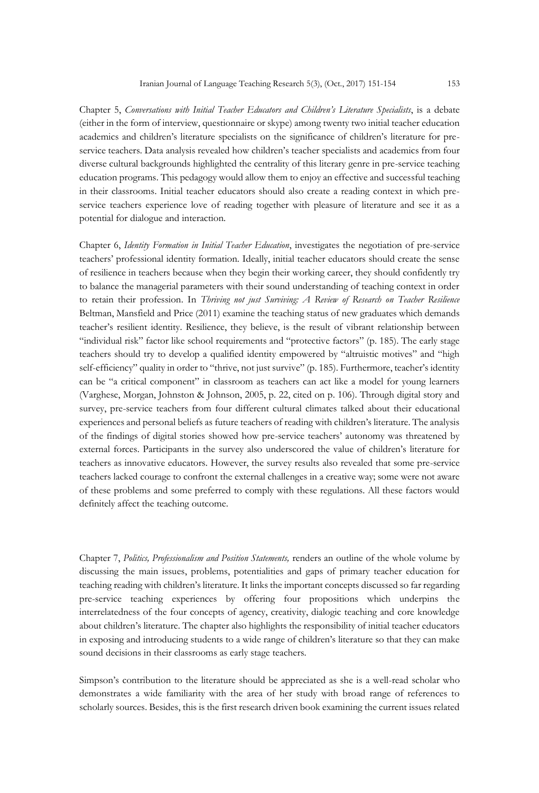Chapter 5, *Conversations with Initial Teacher Educators and Children's Literature Specialists*, is a debate (either in the form of interview, questionnaire or skype) among twenty two initial teacher education academics and children's literature specialists on the significance of children's literature for preservice teachers. Data analysis revealed how children's teacher specialists and academics from four diverse cultural backgrounds highlighted the centrality of this literary genre in pre-service teaching education programs. This pedagogy would allow them to enjoy an effective and successful teaching in their classrooms. Initial teacher educators should also create a reading context in which preservice teachers experience love of reading together with pleasure of literature and see it as a potential for dialogue and interaction.

Chapter 6, *Identity Formation in Initial Teacher Education*, investigates the negotiation of pre-service teachers' professional identity formation. Ideally, initial teacher educators should create the sense of resilience in teachers because when they begin their working career, they should confidently try to balance the managerial parameters with their sound understanding of teaching context in order to retain their profession. In *Thriving not just Surviving: A Review of Research on Teacher Resilience* Beltman, Mansfield and Price (2011) examine the teaching status of new graduates which demands teacher's resilient identity. Resilience, they believe, is the result of vibrant relationship between "individual risk" factor like school requirements and "protective factors" (p. 185). The early stage teachers should try to develop a qualified identity empowered by "altruistic motives" and "high self-efficiency" quality in order to "thrive, not just survive" (p. 185). Furthermore, teacher's identity can be "a critical component" in classroom as teachers can act like a model for young learners (Varghese, Morgan, Johnston & Johnson, 2005, p. 22, cited on p. 106). Through digital story and survey, pre-service teachers from four different cultural climates talked about their educational experiences and personal beliefs as future teachers of reading with children's literature. The analysis of the findings of digital stories showed how pre-service teachers' autonomy was threatened by external forces. Participants in the survey also underscored the value of children's literature for teachers as innovative educators. However, the survey results also revealed that some pre-service teachers lacked courage to confront the external challenges in a creative way; some were not aware of these problems and some preferred to comply with these regulations. All these factors would definitely affect the teaching outcome.

Chapter 7, *Politics, Professionalism and Position Statements,* renders an outline of the whole volume by discussing the main issues, problems, potentialities and gaps of primary teacher education for teaching reading with children's literature. It links the important concepts discussed so far regarding pre-service teaching experiences by offering four propositions which underpins the interrelatedness of the four concepts of agency, creativity, dialogic teaching and core knowledge about children's literature. The chapter also highlights the responsibility of initial teacher educators in exposing and introducing students to a wide range of children's literature so that they can make sound decisions in their classrooms as early stage teachers.

Simpson's contribution to the literature should be appreciated as she is a well-read scholar who demonstrates a wide familiarity with the area of her study with broad range of references to scholarly sources. Besides, this is the first research driven book examining the current issues related